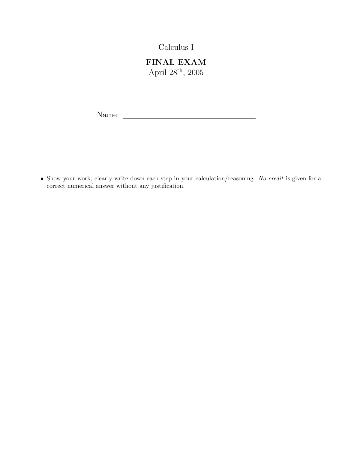Calculus I

FINAL EXAM April  $28^{\rm th},\,2005$ 

Name:

• Show your work; clearly write down each step in your calculation/reasoning. No credit is given for a correct numerical answer without any justification.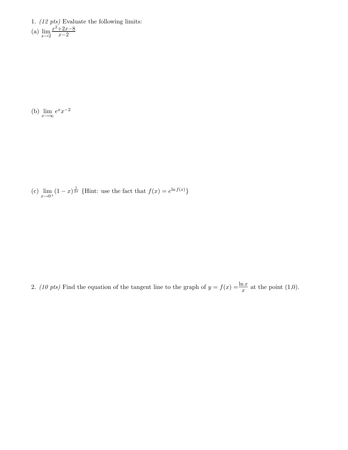1. (12 pts) Evaluate the following limits:  $(a)$   $\lim_{x\to 2}$  $x^2+2x-8$  $x-2$ 

(b)  $\lim_{x \to \infty} e^x x^{-2}$ 

(c)  $\lim_{x \to 0^+} (1-x)^{\frac{1}{2x}}$  {Hint: use the fact that  $f(x) = e^{\ln f(x)}$ }

2. (10 pts) Find the equation of the tangent line to the graph of  $y = f(x) = \frac{\ln x}{x}$  at the point (1,0).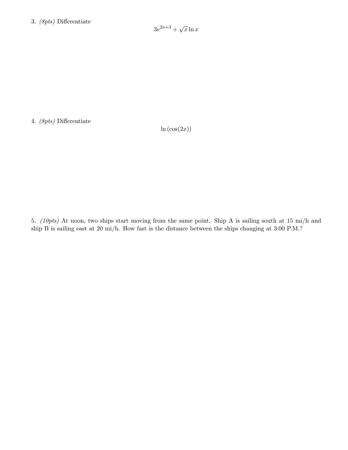4. (8pts) Differentiate

 $\ln(\cos(2x))$ 

5. (10pts) At noon, two ships start moving from the same point. Ship A is sailing south at 15 mi/h and ship B is sailing east at 20 mi/h. How fast is the distance between the ships changing at 3:00 P.M.?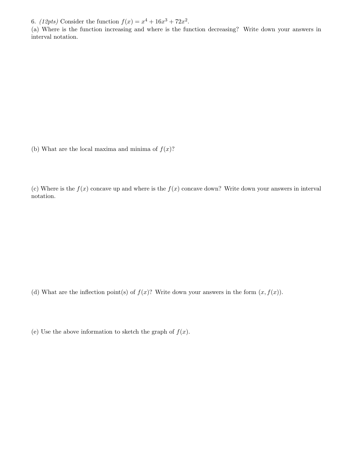6. (12pts) Consider the function  $f(x) = x^4 + 16x^3 + 72x^2$ .

(a) Where is the function increasing and where is the function decreasing? Write down your answers in interval notation.

(b) What are the local maxima and minima of  $f(x)$ ?

(c) Where is the  $f(x)$  concave up and where is the  $f(x)$  concave down? Write down your answers in interval notation.

(d) What are the inflection point(s) of  $f(x)$ ? Write down your answers in the form  $(x, f(x))$ .

(e) Use the above information to sketch the graph of  $f(x)$ .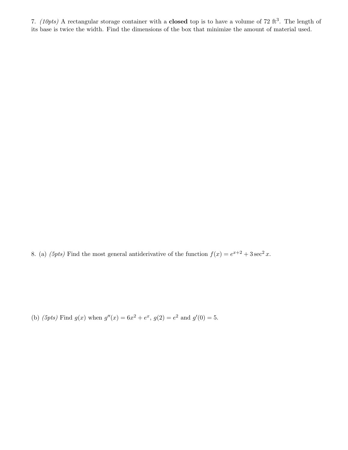7. (10pts) A rectangular storage container with a **closed** top is to have a volume of 72 ft<sup>3</sup>. The length of its base is twice the width. Find the dimensions of the box that minimize the amount of material used.

8. (a) (5pts) Find the most general antiderivative of the function  $f(x) = e^{x+2} + 3 \sec^2 x$ .

(b) (5pts) Find  $g(x)$  when  $g''(x) = 6x^2 + e^x$ ,  $g(2) = e^2$  and  $g'(0) = 5$ .